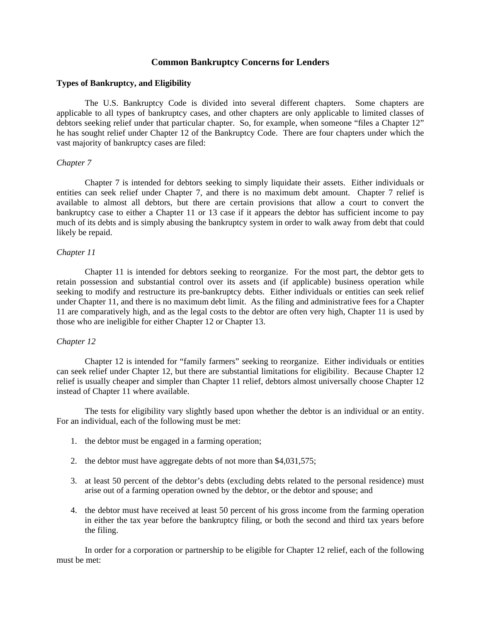# **Common Bankruptcy Concerns for Lenders**

#### **Types of Bankruptcy, and Eligibility**

 The U.S. Bankruptcy Code is divided into several different chapters. Some chapters are applicable to all types of bankruptcy cases, and other chapters are only applicable to limited classes of debtors seeking relief under that particular chapter. So, for example, when someone "files a Chapter 12" he has sought relief under Chapter 12 of the Bankruptcy Code. There are four chapters under which the vast majority of bankruptcy cases are filed:

#### *Chapter 7*

 Chapter 7 is intended for debtors seeking to simply liquidate their assets. Either individuals or entities can seek relief under Chapter 7, and there is no maximum debt amount. Chapter 7 relief is available to almost all debtors, but there are certain provisions that allow a court to convert the bankruptcy case to either a Chapter 11 or 13 case if it appears the debtor has sufficient income to pay much of its debts and is simply abusing the bankruptcy system in order to walk away from debt that could likely be repaid.

### *Chapter 11*

 Chapter 11 is intended for debtors seeking to reorganize. For the most part, the debtor gets to retain possession and substantial control over its assets and (if applicable) business operation while seeking to modify and restructure its pre-bankruptcy debts. Either individuals or entities can seek relief under Chapter 11, and there is no maximum debt limit. As the filing and administrative fees for a Chapter 11 are comparatively high, and as the legal costs to the debtor are often very high, Chapter 11 is used by those who are ineligible for either Chapter 12 or Chapter 13.

## *Chapter 12*

 Chapter 12 is intended for "family farmers" seeking to reorganize. Either individuals or entities can seek relief under Chapter 12, but there are substantial limitations for eligibility. Because Chapter 12 relief is usually cheaper and simpler than Chapter 11 relief, debtors almost universally choose Chapter 12 instead of Chapter 11 where available.

 The tests for eligibility vary slightly based upon whether the debtor is an individual or an entity. For an individual, each of the following must be met:

- 1. the debtor must be engaged in a farming operation;
- 2. the debtor must have aggregate debts of not more than \$4,031,575;
- 3. at least 50 percent of the debtor's debts (excluding debts related to the personal residence) must arise out of a farming operation owned by the debtor, or the debtor and spouse; and
- 4. the debtor must have received at least 50 percent of his gross income from the farming operation in either the tax year before the bankruptcy filing, or both the second and third tax years before the filing.

 In order for a corporation or partnership to be eligible for Chapter 12 relief, each of the following must be met: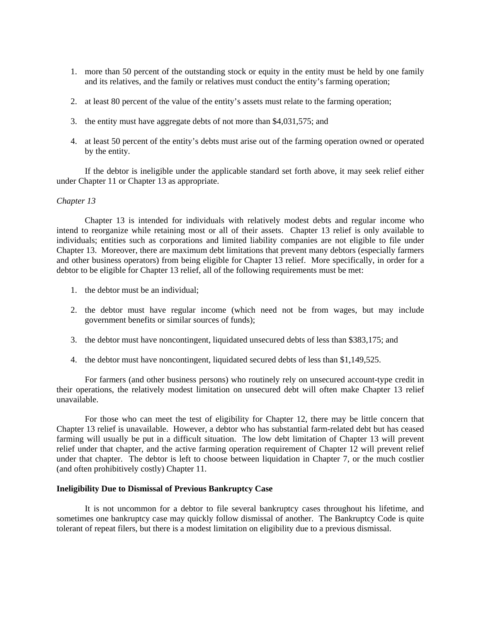- 1. more than 50 percent of the outstanding stock or equity in the entity must be held by one family and its relatives, and the family or relatives must conduct the entity's farming operation;
- 2. at least 80 percent of the value of the entity's assets must relate to the farming operation;
- 3. the entity must have aggregate debts of not more than \$4,031,575; and
- 4. at least 50 percent of the entity's debts must arise out of the farming operation owned or operated by the entity.

 If the debtor is ineligible under the applicable standard set forth above, it may seek relief either under Chapter 11 or Chapter 13 as appropriate.

### *Chapter 13*

 Chapter 13 is intended for individuals with relatively modest debts and regular income who intend to reorganize while retaining most or all of their assets. Chapter 13 relief is only available to individuals; entities such as corporations and limited liability companies are not eligible to file under Chapter 13. Moreover, there are maximum debt limitations that prevent many debtors (especially farmers and other business operators) from being eligible for Chapter 13 relief. More specifically, in order for a debtor to be eligible for Chapter 13 relief, all of the following requirements must be met:

- 1. the debtor must be an individual;
- 2. the debtor must have regular income (which need not be from wages, but may include government benefits or similar sources of funds);
- 3. the debtor must have noncontingent, liquidated unsecured debts of less than \$383,175; and
- 4. the debtor must have noncontingent, liquidated secured debts of less than \$1,149,525.

 For farmers (and other business persons) who routinely rely on unsecured account-type credit in their operations, the relatively modest limitation on unsecured debt will often make Chapter 13 relief unavailable.

 For those who can meet the test of eligibility for Chapter 12, there may be little concern that Chapter 13 relief is unavailable. However, a debtor who has substantial farm-related debt but has ceased farming will usually be put in a difficult situation. The low debt limitation of Chapter 13 will prevent relief under that chapter, and the active farming operation requirement of Chapter 12 will prevent relief under that chapter. The debtor is left to choose between liquidation in Chapter 7, or the much costlier (and often prohibitively costly) Chapter 11.

### **Ineligibility Due to Dismissal of Previous Bankruptcy Case**

 It is not uncommon for a debtor to file several bankruptcy cases throughout his lifetime, and sometimes one bankruptcy case may quickly follow dismissal of another. The Bankruptcy Code is quite tolerant of repeat filers, but there is a modest limitation on eligibility due to a previous dismissal.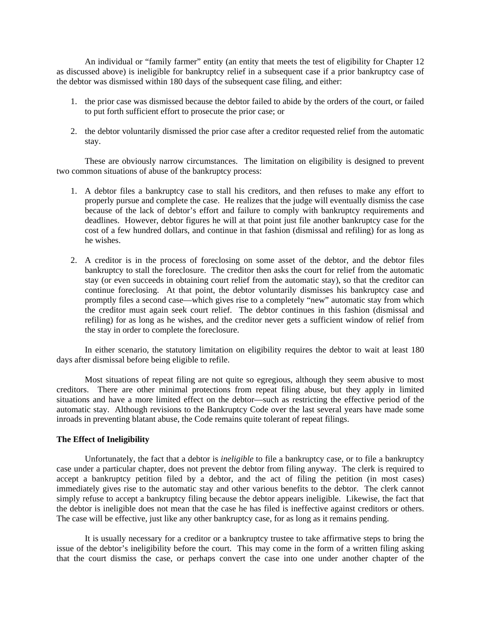An individual or "family farmer" entity (an entity that meets the test of eligibility for Chapter 12 as discussed above) is ineligible for bankruptcy relief in a subsequent case if a prior bankruptcy case of the debtor was dismissed within 180 days of the subsequent case filing, and either:

- 1. the prior case was dismissed because the debtor failed to abide by the orders of the court, or failed to put forth sufficient effort to prosecute the prior case; or
- 2. the debtor voluntarily dismissed the prior case after a creditor requested relief from the automatic stay.

 These are obviously narrow circumstances. The limitation on eligibility is designed to prevent two common situations of abuse of the bankruptcy process:

- 1. A debtor files a bankruptcy case to stall his creditors, and then refuses to make any effort to properly pursue and complete the case. He realizes that the judge will eventually dismiss the case because of the lack of debtor's effort and failure to comply with bankruptcy requirements and deadlines. However, debtor figures he will at that point just file another bankruptcy case for the cost of a few hundred dollars, and continue in that fashion (dismissal and refiling) for as long as he wishes.
- 2. A creditor is in the process of foreclosing on some asset of the debtor, and the debtor files bankruptcy to stall the foreclosure. The creditor then asks the court for relief from the automatic stay (or even succeeds in obtaining court relief from the automatic stay), so that the creditor can continue foreclosing. At that point, the debtor voluntarily dismisses his bankruptcy case and promptly files a second case—which gives rise to a completely "new" automatic stay from which the creditor must again seek court relief. The debtor continues in this fashion (dismissal and refiling) for as long as he wishes, and the creditor never gets a sufficient window of relief from the stay in order to complete the foreclosure.

 In either scenario, the statutory limitation on eligibility requires the debtor to wait at least 180 days after dismissal before being eligible to refile.

 Most situations of repeat filing are not quite so egregious, although they seem abusive to most creditors. There are other minimal protections from repeat filing abuse, but they apply in limited situations and have a more limited effect on the debtor—such as restricting the effective period of the automatic stay. Although revisions to the Bankruptcy Code over the last several years have made some inroads in preventing blatant abuse, the Code remains quite tolerant of repeat filings.

# **The Effect of Ineligibility**

 Unfortunately, the fact that a debtor is *ineligible* to file a bankruptcy case, or to file a bankruptcy case under a particular chapter, does not prevent the debtor from filing anyway. The clerk is required to accept a bankruptcy petition filed by a debtor, and the act of filing the petition (in most cases) immediately gives rise to the automatic stay and other various benefits to the debtor. The clerk cannot simply refuse to accept a bankruptcy filing because the debtor appears ineligible. Likewise, the fact that the debtor is ineligible does not mean that the case he has filed is ineffective against creditors or others. The case will be effective, just like any other bankruptcy case, for as long as it remains pending.

 It is usually necessary for a creditor or a bankruptcy trustee to take affirmative steps to bring the issue of the debtor's ineligibility before the court. This may come in the form of a written filing asking that the court dismiss the case, or perhaps convert the case into one under another chapter of the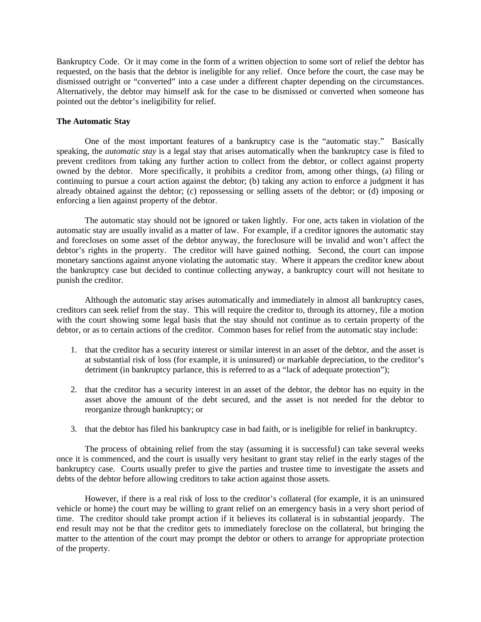Bankruptcy Code. Or it may come in the form of a written objection to some sort of relief the debtor has requested, on the basis that the debtor is ineligible for any relief. Once before the court, the case may be dismissed outright or "converted" into a case under a different chapter depending on the circumstances. Alternatively, the debtor may himself ask for the case to be dismissed or converted when someone has pointed out the debtor's ineligibility for relief.

## **The Automatic Stay**

 One of the most important features of a bankruptcy case is the "automatic stay." Basically speaking, the *automatic stay* is a legal stay that arises automatically when the bankruptcy case is filed to prevent creditors from taking any further action to collect from the debtor, or collect against property owned by the debtor. More specifically, it prohibits a creditor from, among other things, (a) filing or continuing to pursue a court action against the debtor; (b) taking any action to enforce a judgment it has already obtained against the debtor; (c) repossessing or selling assets of the debtor; or (d) imposing or enforcing a lien against property of the debtor.

 The automatic stay should not be ignored or taken lightly. For one, acts taken in violation of the automatic stay are usually invalid as a matter of law. For example, if a creditor ignores the automatic stay and forecloses on some asset of the debtor anyway, the foreclosure will be invalid and won't affect the debtor's rights in the property. The creditor will have gained nothing. Second, the court can impose monetary sanctions against anyone violating the automatic stay. Where it appears the creditor knew about the bankruptcy case but decided to continue collecting anyway, a bankruptcy court will not hesitate to punish the creditor.

 Although the automatic stay arises automatically and immediately in almost all bankruptcy cases, creditors can seek relief from the stay. This will require the creditor to, through its attorney, file a motion with the court showing some legal basis that the stay should not continue as to certain property of the debtor, or as to certain actions of the creditor. Common bases for relief from the automatic stay include:

- 1. that the creditor has a security interest or similar interest in an asset of the debtor, and the asset is at substantial risk of loss (for example, it is uninsured) or markable depreciation, to the creditor's detriment (in bankruptcy parlance, this is referred to as a "lack of adequate protection");
- 2. that the creditor has a security interest in an asset of the debtor, the debtor has no equity in the asset above the amount of the debt secured, and the asset is not needed for the debtor to reorganize through bankruptcy; or
- 3. that the debtor has filed his bankruptcy case in bad faith, or is ineligible for relief in bankruptcy.

 The process of obtaining relief from the stay (assuming it is successful) can take several weeks once it is commenced, and the court is usually very hesitant to grant stay relief in the early stages of the bankruptcy case. Courts usually prefer to give the parties and trustee time to investigate the assets and debts of the debtor before allowing creditors to take action against those assets.

 However, if there is a real risk of loss to the creditor's collateral (for example, it is an uninsured vehicle or home) the court may be willing to grant relief on an emergency basis in a very short period of time. The creditor should take prompt action if it believes its collateral is in substantial jeopardy. The end result may not be that the creditor gets to immediately foreclose on the collateral, but bringing the matter to the attention of the court may prompt the debtor or others to arrange for appropriate protection of the property.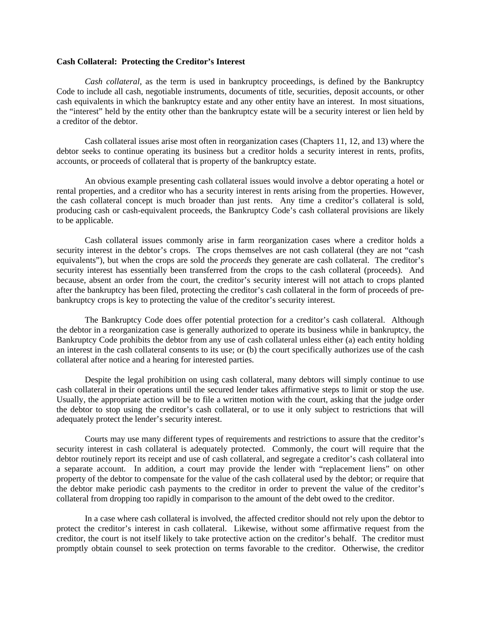### **Cash Collateral: Protecting the Creditor's Interest**

*Cash collateral*, as the term is used in bankruptcy proceedings, is defined by the Bankruptcy Code to include all cash, negotiable instruments, documents of title, securities, deposit accounts, or other cash equivalents in which the bankruptcy estate and any other entity have an interest. In most situations, the "interest" held by the entity other than the bankruptcy estate will be a security interest or lien held by a creditor of the debtor.

 Cash collateral issues arise most often in reorganization cases (Chapters 11, 12, and 13) where the debtor seeks to continue operating its business but a creditor holds a security interest in rents, profits, accounts, or proceeds of collateral that is property of the bankruptcy estate.

 An obvious example presenting cash collateral issues would involve a debtor operating a hotel or rental properties, and a creditor who has a security interest in rents arising from the properties. However, the cash collateral concept is much broader than just rents. Any time a creditor's collateral is sold, producing cash or cash-equivalent proceeds, the Bankruptcy Code's cash collateral provisions are likely to be applicable.

 Cash collateral issues commonly arise in farm reorganization cases where a creditor holds a security interest in the debtor's crops. The crops themselves are not cash collateral (they are not "cash equivalents"), but when the crops are sold the *proceeds* they generate are cash collateral. The creditor's security interest has essentially been transferred from the crops to the cash collateral (proceeds). And because, absent an order from the court, the creditor's security interest will not attach to crops planted after the bankruptcy has been filed, protecting the creditor's cash collateral in the form of proceeds of prebankruptcy crops is key to protecting the value of the creditor's security interest.

 The Bankruptcy Code does offer potential protection for a creditor's cash collateral. Although the debtor in a reorganization case is generally authorized to operate its business while in bankruptcy, the Bankruptcy Code prohibits the debtor from any use of cash collateral unless either (a) each entity holding an interest in the cash collateral consents to its use; or (b) the court specifically authorizes use of the cash collateral after notice and a hearing for interested parties.

 Despite the legal prohibition on using cash collateral, many debtors will simply continue to use cash collateral in their operations until the secured lender takes affirmative steps to limit or stop the use. Usually, the appropriate action will be to file a written motion with the court, asking that the judge order the debtor to stop using the creditor's cash collateral, or to use it only subject to restrictions that will adequately protect the lender's security interest.

 Courts may use many different types of requirements and restrictions to assure that the creditor's security interest in cash collateral is adequately protected. Commonly, the court will require that the debtor routinely report its receipt and use of cash collateral, and segregate a creditor's cash collateral into a separate account. In addition, a court may provide the lender with "replacement liens" on other property of the debtor to compensate for the value of the cash collateral used by the debtor; or require that the debtor make periodic cash payments to the creditor in order to prevent the value of the creditor's collateral from dropping too rapidly in comparison to the amount of the debt owed to the creditor.

 In a case where cash collateral is involved, the affected creditor should not rely upon the debtor to protect the creditor's interest in cash collateral. Likewise, without some affirmative request from the creditor, the court is not itself likely to take protective action on the creditor's behalf. The creditor must promptly obtain counsel to seek protection on terms favorable to the creditor. Otherwise, the creditor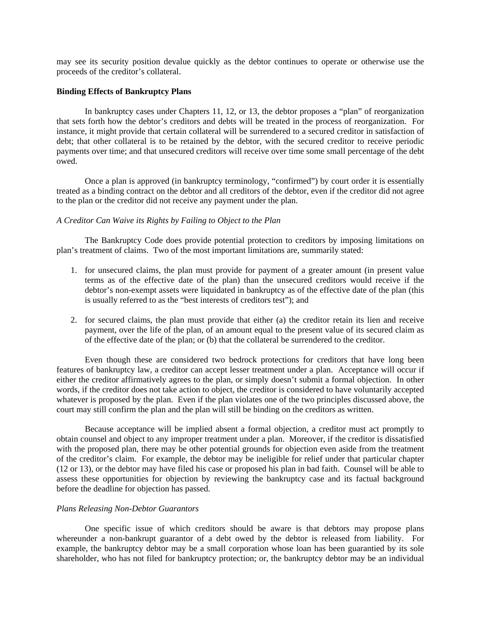may see its security position devalue quickly as the debtor continues to operate or otherwise use the proceeds of the creditor's collateral.

### **Binding Effects of Bankruptcy Plans**

 In bankruptcy cases under Chapters 11, 12, or 13, the debtor proposes a "plan" of reorganization that sets forth how the debtor's creditors and debts will be treated in the process of reorganization. For instance, it might provide that certain collateral will be surrendered to a secured creditor in satisfaction of debt; that other collateral is to be retained by the debtor, with the secured creditor to receive periodic payments over time; and that unsecured creditors will receive over time some small percentage of the debt owed.

 Once a plan is approved (in bankruptcy terminology, "confirmed") by court order it is essentially treated as a binding contract on the debtor and all creditors of the debtor, even if the creditor did not agree to the plan or the creditor did not receive any payment under the plan.

## *A Creditor Can Waive its Rights by Failing to Object to the Plan*

 The Bankruptcy Code does provide potential protection to creditors by imposing limitations on plan's treatment of claims. Two of the most important limitations are, summarily stated:

- 1. for unsecured claims, the plan must provide for payment of a greater amount (in present value terms as of the effective date of the plan) than the unsecured creditors would receive if the debtor's non-exempt assets were liquidated in bankruptcy as of the effective date of the plan (this is usually referred to as the "best interests of creditors test"); and
- 2. for secured claims, the plan must provide that either (a) the creditor retain its lien and receive payment, over the life of the plan, of an amount equal to the present value of its secured claim as of the effective date of the plan; or (b) that the collateral be surrendered to the creditor.

 Even though these are considered two bedrock protections for creditors that have long been features of bankruptcy law, a creditor can accept lesser treatment under a plan. Acceptance will occur if either the creditor affirmatively agrees to the plan, or simply doesn't submit a formal objection. In other words, if the creditor does not take action to object, the creditor is considered to have voluntarily accepted whatever is proposed by the plan. Even if the plan violates one of the two principles discussed above, the court may still confirm the plan and the plan will still be binding on the creditors as written.

 Because acceptance will be implied absent a formal objection, a creditor must act promptly to obtain counsel and object to any improper treatment under a plan. Moreover, if the creditor is dissatisfied with the proposed plan, there may be other potential grounds for objection even aside from the treatment of the creditor's claim. For example, the debtor may be ineligible for relief under that particular chapter (12 or 13), or the debtor may have filed his case or proposed his plan in bad faith. Counsel will be able to assess these opportunities for objection by reviewing the bankruptcy case and its factual background before the deadline for objection has passed.

### *Plans Releasing Non-Debtor Guarantors*

 One specific issue of which creditors should be aware is that debtors may propose plans whereunder a non-bankrupt guarantor of a debt owed by the debtor is released from liability. For example, the bankruptcy debtor may be a small corporation whose loan has been guarantied by its sole shareholder, who has not filed for bankruptcy protection; or, the bankruptcy debtor may be an individual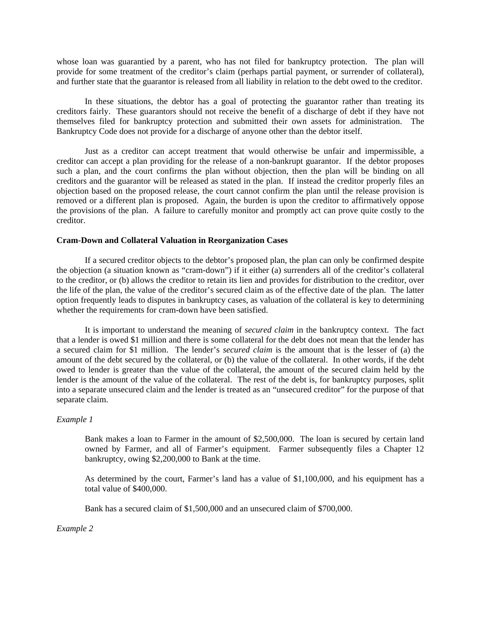whose loan was guarantied by a parent, who has not filed for bankruptcy protection. The plan will provide for some treatment of the creditor's claim (perhaps partial payment, or surrender of collateral), and further state that the guarantor is released from all liability in relation to the debt owed to the creditor.

 In these situations, the debtor has a goal of protecting the guarantor rather than treating its creditors fairly. These guarantors should not receive the benefit of a discharge of debt if they have not themselves filed for bankruptcy protection and submitted their own assets for administration. The Bankruptcy Code does not provide for a discharge of anyone other than the debtor itself.

 Just as a creditor can accept treatment that would otherwise be unfair and impermissible, a creditor can accept a plan providing for the release of a non-bankrupt guarantor. If the debtor proposes such a plan, and the court confirms the plan without objection, then the plan will be binding on all creditors and the guarantor will be released as stated in the plan. If instead the creditor properly files an objection based on the proposed release, the court cannot confirm the plan until the release provision is removed or a different plan is proposed. Again, the burden is upon the creditor to affirmatively oppose the provisions of the plan. A failure to carefully monitor and promptly act can prove quite costly to the creditor.

### **Cram-Down and Collateral Valuation in Reorganization Cases**

 If a secured creditor objects to the debtor's proposed plan, the plan can only be confirmed despite the objection (a situation known as "cram-down") if it either (a) surrenders all of the creditor's collateral to the creditor, or (b) allows the creditor to retain its lien and provides for distribution to the creditor, over the life of the plan, the value of the creditor's secured claim as of the effective date of the plan. The latter option frequently leads to disputes in bankruptcy cases, as valuation of the collateral is key to determining whether the requirements for cram-down have been satisfied.

 It is important to understand the meaning of *secured claim* in the bankruptcy context. The fact that a lender is owed \$1 million and there is some collateral for the debt does not mean that the lender has a secured claim for \$1 million. The lender's *secured claim* is the amount that is the lesser of (a) the amount of the debt secured by the collateral, or (b) the value of the collateral. In other words, if the debt owed to lender is greater than the value of the collateral, the amount of the secured claim held by the lender is the amount of the value of the collateral. The rest of the debt is, for bankruptcy purposes, split into a separate unsecured claim and the lender is treated as an "unsecured creditor" for the purpose of that separate claim.

### *Example 1*

Bank makes a loan to Farmer in the amount of \$2,500,000. The loan is secured by certain land owned by Farmer, and all of Farmer's equipment. Farmer subsequently files a Chapter 12 bankruptcy, owing \$2,200,000 to Bank at the time.

As determined by the court, Farmer's land has a value of \$1,100,000, and his equipment has a total value of \$400,000.

Bank has a secured claim of \$1,500,000 and an unsecured claim of \$700,000.

*Example 2*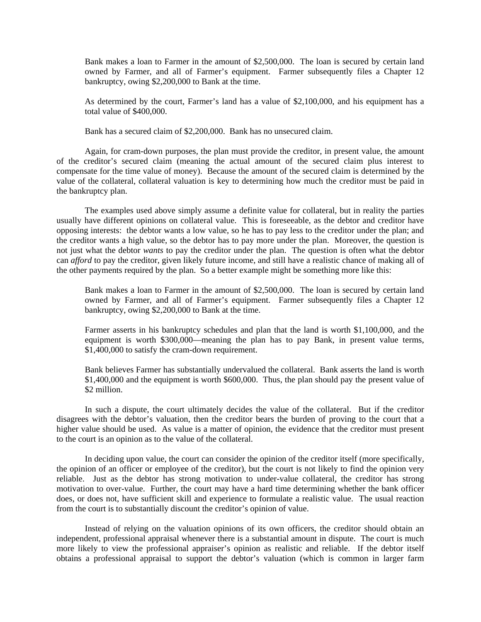Bank makes a loan to Farmer in the amount of \$2,500,000. The loan is secured by certain land owned by Farmer, and all of Farmer's equipment. Farmer subsequently files a Chapter 12 bankruptcy, owing \$2,200,000 to Bank at the time.

As determined by the court, Farmer's land has a value of \$2,100,000, and his equipment has a total value of \$400,000.

Bank has a secured claim of \$2,200,000. Bank has no unsecured claim.

 Again, for cram-down purposes, the plan must provide the creditor, in present value, the amount of the creditor's secured claim (meaning the actual amount of the secured claim plus interest to compensate for the time value of money). Because the amount of the secured claim is determined by the value of the collateral, collateral valuation is key to determining how much the creditor must be paid in the bankruptcy plan.

 The examples used above simply assume a definite value for collateral, but in reality the parties usually have different opinions on collateral value. This is foreseeable, as the debtor and creditor have opposing interests: the debtor wants a low value, so he has to pay less to the creditor under the plan; and the creditor wants a high value, so the debtor has to pay more under the plan. Moreover, the question is not just what the debtor *wants* to pay the creditor under the plan. The question is often what the debtor can *afford* to pay the creditor, given likely future income, and still have a realistic chance of making all of the other payments required by the plan. So a better example might be something more like this:

Bank makes a loan to Farmer in the amount of \$2,500,000. The loan is secured by certain land owned by Farmer, and all of Farmer's equipment. Farmer subsequently files a Chapter 12 bankruptcy, owing \$2,200,000 to Bank at the time.

Farmer asserts in his bankruptcy schedules and plan that the land is worth \$1,100,000, and the equipment is worth \$300,000—meaning the plan has to pay Bank, in present value terms, \$1,400,000 to satisfy the cram-down requirement.

Bank believes Farmer has substantially undervalued the collateral. Bank asserts the land is worth \$1,400,000 and the equipment is worth \$600,000. Thus, the plan should pay the present value of \$2 million.

 In such a dispute, the court ultimately decides the value of the collateral. But if the creditor disagrees with the debtor's valuation, then the creditor bears the burden of proving to the court that a higher value should be used. As value is a matter of opinion, the evidence that the creditor must present to the court is an opinion as to the value of the collateral.

 In deciding upon value, the court can consider the opinion of the creditor itself (more specifically, the opinion of an officer or employee of the creditor), but the court is not likely to find the opinion very reliable. Just as the debtor has strong motivation to under-value collateral, the creditor has strong motivation to over-value. Further, the court may have a hard time determining whether the bank officer does, or does not, have sufficient skill and experience to formulate a realistic value. The usual reaction from the court is to substantially discount the creditor's opinion of value.

 Instead of relying on the valuation opinions of its own officers, the creditor should obtain an independent, professional appraisal whenever there is a substantial amount in dispute. The court is much more likely to view the professional appraiser's opinion as realistic and reliable. If the debtor itself obtains a professional appraisal to support the debtor's valuation (which is common in larger farm